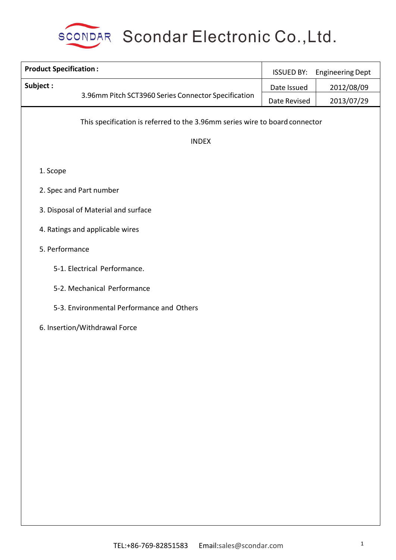

| <b>Product Specification:</b>                                               | <b>ISSUED BY:</b> | <b>Engineering Dept</b> |
|-----------------------------------------------------------------------------|-------------------|-------------------------|
| Subject:                                                                    | Date Issued       | 2012/08/09              |
| 3.96mm Pitch SCT3960 Series Connector Specification                         | Date Revised      | 2013/07/29              |
| This specification is referred to the 3.96mm series wire to board connector |                   |                         |
| <b>INDEX</b>                                                                |                   |                         |
| 1. Scope                                                                    |                   |                         |
| 2. Spec and Part number                                                     |                   |                         |
| 3. Disposal of Material and surface                                         |                   |                         |
| 4. Ratings and applicable wires                                             |                   |                         |
| 5. Performance                                                              |                   |                         |
| 5-1. Electrical Performance.                                                |                   |                         |
| 5-2. Mechanical Performance                                                 |                   |                         |
| 5-3. Environmental Performance and Others                                   |                   |                         |
| 6. Insertion/Withdrawal Force                                               |                   |                         |
|                                                                             |                   |                         |
|                                                                             |                   |                         |
|                                                                             |                   |                         |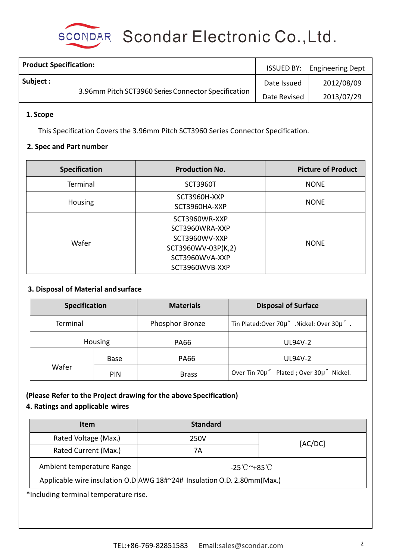

SCONDAR Scondar Electronic Co., Ltd.

| <b>Product Specification:</b>                       | <b>ISSUED BY:</b> | <b>Engineering Dept</b> |
|-----------------------------------------------------|-------------------|-------------------------|
| Subject :                                           | Date Issued       | 2012/08/09              |
| 3.96mm Pitch SCT3960 Series Connector Specification | Date Revised      | 2013/07/29              |

### **1. Scope**

This Specification Covers the 3.96mm Pitch SCT3960 Series Connector Specification.

#### **2. Spec and Part number**

| <b>Specification</b> | <b>Production No.</b>                                                                                      | <b>Picture of Product</b> |
|----------------------|------------------------------------------------------------------------------------------------------------|---------------------------|
| Terminal             | <b>SCT3960T</b>                                                                                            | <b>NONE</b>               |
| <b>Housing</b>       | SCT3960H-XXP<br>SCT3960HA-XXP                                                                              | <b>NONE</b>               |
| Wafer                | SCT3960WR-XXP<br>SCT3960WRA-XXP<br>SCT3960WV-XXP<br>SCT3960WV-03P(K,2)<br>SCT3960WVA-XXP<br>SCT3960WVB-XXP | <b>NONE</b>               |

### **3. Disposal of Material andsurface**

| <b>Specification</b><br>Terminal<br><b>Housing</b> |             | <b>Materials</b> | <b>Disposal of Surface</b>                |  |  |
|----------------------------------------------------|-------------|------------------|-------------------------------------------|--|--|
|                                                    |             | Phosphor Bronze  | Tin Plated:Over 70µ" .Nickel: Over 30µ" . |  |  |
|                                                    |             | <b>PA66</b>      | <b>UL94V-2</b>                            |  |  |
|                                                    | <b>Base</b> | <b>PA66</b>      | <b>UL94V-2</b>                            |  |  |
| Wafer                                              | <b>PIN</b>  | <b>Brass</b>     | Over Tin 70µ" Plated ; Over 30µ" Nickel.  |  |  |

### **(Please Refer to the Project drawing for the above Specification)**

### **4. Ratings and applicable wires**

| <b>Item</b>               | <b>Standard</b>                                                          |         |
|---------------------------|--------------------------------------------------------------------------|---------|
| Rated Voltage (Max.)      | 250V                                                                     | [AC/DC] |
| Rated Current (Max.)      | 7Α                                                                       |         |
| Ambient temperature Range | -25℃~+85℃                                                                |         |
|                           | Applicable wire insulation O.D AWG 18#~24# Insulation O.D. 2.80mm (Max.) |         |

\*Including terminal temperature rise.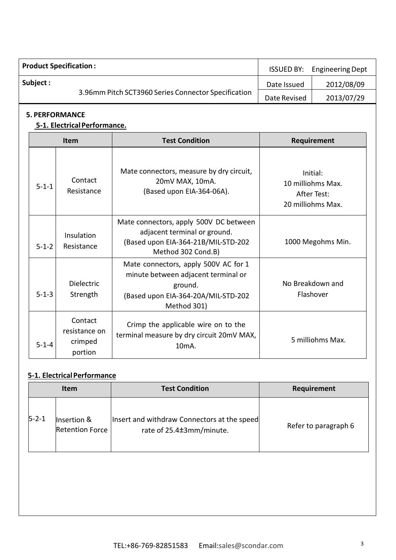| <b>Product Specification:</b> |                                                     | <b>ISSUED BY:</b> | <b>Engineering Dept</b> |
|-------------------------------|-----------------------------------------------------|-------------------|-------------------------|
| Subject :                     |                                                     | Date Issued       | 2012/08/09              |
|                               | 3.96mm Pitch SCT3960 Series Connector Specification | Date Revised      | 2013/07/29              |

### **5. PERFORMANCE**

#### **5-1. ElectricalPerformance.**

|             | Item                                           | <b>Test Condition</b>                                                                                                                        | Requirement                                                       |
|-------------|------------------------------------------------|----------------------------------------------------------------------------------------------------------------------------------------------|-------------------------------------------------------------------|
| $5 - 1 - 1$ | Contact<br>Resistance                          | Mate connectors, measure by dry circuit,<br>20mV MAX, 10mA.<br>(Based upon EIA-364-06A).                                                     | Initial:<br>10 milliohms Max.<br>After Test:<br>20 milliohms Max. |
| $5 - 1 - 2$ | Insulation<br>Resistance                       | Mate connectors, apply 500V DC between<br>adjacent terminal or ground.<br>(Based upon EIA-364-21B/MIL-STD-202<br>Method 302 Cond.B)          | 1000 Megohms Min.                                                 |
| $5 - 1 - 3$ | <b>Dielectric</b><br>Strength                  | Mate connectors, apply 500V AC for 1<br>minute between adjacent terminal or<br>ground.<br>(Based upon EIA-364-20A/MIL-STD-202<br>Method 301) | No Breakdown and<br>Flashover                                     |
| $5 - 1 - 4$ | Contact<br>resistance on<br>crimped<br>portion | Crimp the applicable wire on to the<br>terminal measure by dry circuit 20mV MAX,<br>10 <sub>m</sub> A.                                       | 5 milliohms Max.                                                  |

## **5-1. Electrical Performance**

|             | <b>Item</b>                           | <b>Test Condition</b>                                                   | Requirement          |
|-------------|---------------------------------------|-------------------------------------------------------------------------|----------------------|
| $5 - 2 - 1$ | Insertion &<br><b>Retention Force</b> | Insert and withdraw Connectors at the speed<br>rate of 25.4±3mm/minute. | Refer to paragraph 6 |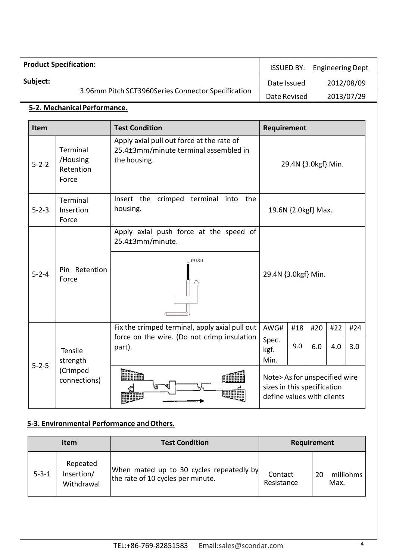|             | <b>Product Specification:</b>              |                                                                                                         | <b>ISSUED BY:</b>                                                                          |            |            | <b>Engineering Dept</b> |            |
|-------------|--------------------------------------------|---------------------------------------------------------------------------------------------------------|--------------------------------------------------------------------------------------------|------------|------------|-------------------------|------------|
| Subject:    |                                            |                                                                                                         | Date Issued                                                                                |            |            | 2012/08/09              |            |
|             |                                            | 3.96mm Pitch SCT3960Series Connector Specification                                                      | Date Revised                                                                               |            |            | 2013/07/29              |            |
|             | 5-2. Mechanical Performance.               |                                                                                                         |                                                                                            |            |            |                         |            |
| Item        | <b>Test Condition</b>                      |                                                                                                         | Requirement                                                                                |            |            |                         |            |
| $5 - 2 - 2$ | Terminal<br>/Housing<br>Retention<br>Force | Apply axial pull out force at the rate of<br>25.4±3mm/minute terminal assembled in<br>the housing.      | 29.4N {3.0kgf} Min.                                                                        |            |            |                         |            |
| $5 - 2 - 3$ | Terminal<br>Insertion<br>Force             | Insert the crimped terminal into the<br>housing.                                                        | 19.6N {2.0kgf} Max.                                                                        |            |            |                         |            |
| $5 - 2 - 4$ | Pin Retention<br>Force                     | Apply axial push force at the speed of<br>25.4±3mm/minute.<br><b>PUSH</b>                               | 29.4N {3.0kgf} Min.                                                                        |            |            |                         |            |
| $5 - 2 - 5$ | Tensile<br>strength                        | Fix the crimped terminal, apply axial pull out<br>force on the wire. (Do not crimp insulation<br>part). | AWG#<br>Spec.<br>kgf.<br>Min.                                                              | #18<br>9.0 | #20<br>6.0 | #22<br>4.0              | #24<br>3.0 |
|             | (Crimped<br>connections)                   | <b>Einer</b><br>Œ<br><b>MINE</b>                                                                        | Note> As for unspecified wire<br>sizes in this specification<br>define values with clients |            |            |                         |            |

# **5-3. Environmental Performance andOthers.**

|             | <b>Item</b>                          | <b>Test Condition</b>                                                         |                       | Requirement             |
|-------------|--------------------------------------|-------------------------------------------------------------------------------|-----------------------|-------------------------|
| $5 - 3 - 1$ | Repeated<br>Insertion/<br>Withdrawal | When mated up to 30 cycles repeatedly by<br>the rate of 10 cycles per minute. | Contact<br>Resistance | milliohms<br>20<br>Max. |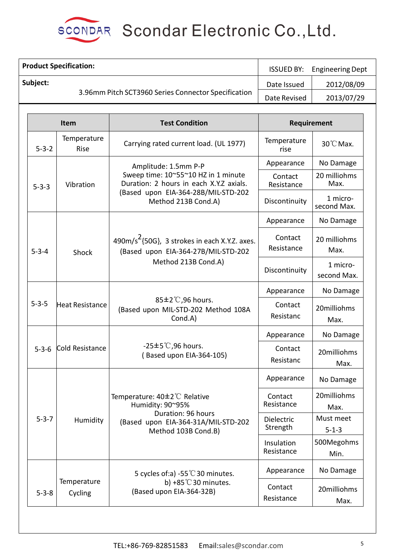

SCONDAR Scondar Electronic Co., Ltd.

|             | <b>Product Specification:</b>                                                                                                      |                                                                                                                        |                          | <b>Engineering Dept</b>  |
|-------------|------------------------------------------------------------------------------------------------------------------------------------|------------------------------------------------------------------------------------------------------------------------|--------------------------|--------------------------|
| Subject:    |                                                                                                                                    |                                                                                                                        | Date Issued              | 2012/08/09               |
|             |                                                                                                                                    | 3.96mm Pitch SCT3960 Series Connector Specification                                                                    | Date Revised             | 2013/07/29               |
|             |                                                                                                                                    |                                                                                                                        |                          |                          |
|             | Item                                                                                                                               | <b>Test Condition</b>                                                                                                  |                          | Requirement              |
| $5 - 3 - 2$ | Temperature<br>Rise                                                                                                                | Carrying rated current load. (UL 1977)                                                                                 | Temperature<br>rise      | 30°C Max.                |
|             |                                                                                                                                    | Amplitude: 1.5mm P-P                                                                                                   | Appearance               | No Damage                |
| $5 - 3 - 3$ | Sweep time: 10~55~10 HZ in 1 minute<br>Duration: 2 hours in each X.Y.Z axials.<br>Vibration<br>(Based upon EIA-364-28B/MIL-STD-202 | Contact<br>Resistance                                                                                                  | 20 milliohms<br>Max.     |                          |
|             |                                                                                                                                    | Method 213B Cond.A)                                                                                                    | Discontinuity            | 1 micro-<br>second Max.  |
|             |                                                                                                                                    |                                                                                                                        | Appearance               | No Damage                |
| $5 - 3 - 4$ | Shock                                                                                                                              | $490 \text{m/s}^2$ {50G}, 3 strokes in each X.Y.Z. axes.<br>(Based upon EIA-364-27B/MIL-STD-202<br>Method 213B Cond.A) | Contact<br>Resistance    | 20 milliohms<br>Max.     |
|             |                                                                                                                                    |                                                                                                                        | Discontinuity            | 1 micro-<br>second Max.  |
|             |                                                                                                                                    |                                                                                                                        | Appearance               | No Damage                |
| $5 - 3 - 5$ | Heat Resistance                                                                                                                    | 85±2°C,96 hours.<br>(Based upon MIL-STD-202 Method 108A<br>Cond.A)                                                     | Contact<br>Resistanc     | 20milliohms<br>Max.      |
|             |                                                                                                                                    |                                                                                                                        | Appearance               | No Damage                |
| $5 - 3 - 6$ | Cold Resistance                                                                                                                    | $-25±5^{\circ}$ C,96 hours.<br>(Based upon EIA-364-105)                                                                | Contact<br>Resistanc     | 20milliohms<br>Max.      |
|             |                                                                                                                                    |                                                                                                                        | Appearance               | No Damage                |
|             |                                                                                                                                    | Temperature: 40±2℃ Relative<br>Humidity: 90~95%                                                                        | Contact<br>Resistance    | 20milliohms<br>Max.      |
| $5 - 3 - 7$ | Humidity                                                                                                                           | Duration: 96 hours<br>(Based upon EIA-364-31A/MIL-STD-202<br>Method 103B Cond.B)                                       | Dielectric<br>Strength   | Must meet<br>$5 - 1 - 3$ |
|             |                                                                                                                                    |                                                                                                                        | Insulation<br>Resistance | 500Megohms<br>Min.       |
|             |                                                                                                                                    | 5 cycles of:a) -55 $\degree$ C 30 minutes.                                                                             | Appearance               | No Damage                |
| $5 - 3 - 8$ | Temperature<br>b) +85 $°C$ 30 minutes.<br>(Based upon EIA-364-32B)<br>Cycling                                                      |                                                                                                                        | Contact<br>Resistance    | 20milliohms<br>Max.      |